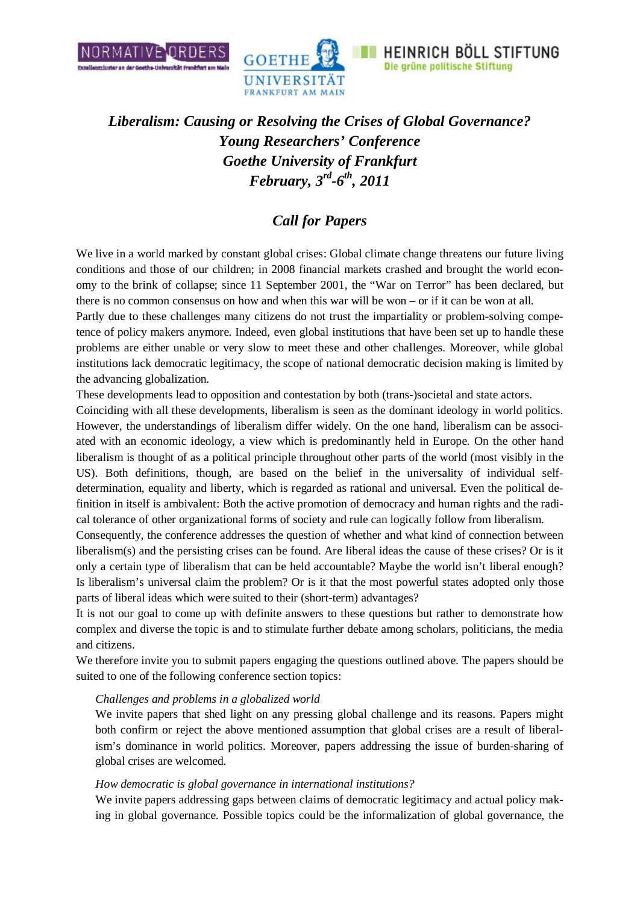





# *Liberalism: Causing or Resolving the Crises of Global Governance? Young Researchers' Conference Goethe University of Frankfurt February, 3rd -6 th, 2011*

## *Call for Papers*

We live in a world marked by constant global crises: Global climate change threatens our future living conditions and those of our children; in 2008 financial markets crashed and brought the world economy to the brink of collapse; since 11 September 2001, the "War on Terror" has been declared, but there is no common consensus on how and when this war will be won – or if it can be won at all.

Partly due to these challenges many citizens do not trust the impartiality or problem-solving competence of policy makers anymore. Indeed, even global institutions that have been set up to handle these problems are either unable or very slow to meet these and other challenges. Moreover, while global institutions lack democratic legitimacy, the scope of national democratic decision making is limited by the advancing globalization.

These developments lead to opposition and contestation by both (trans-)societal and state actors.

Coinciding with all these developments, liberalism is seen as the dominant ideology in world politics. However, the understandings of liberalism differ widely. On the one hand, liberalism can be associated with an economic ideology, a view which is predominantly held in Europe. On the other hand liberalism is thought of as a political principle throughout other parts of the world (most visibly in the US). Both definitions, though, are based on the belief in the universality of individual selfdetermination, equality and liberty, which is regarded as rational and universal. Even the political definition in itself is ambivalent: Both the active promotion of democracy and human rights and the radical tolerance of other organizational forms of society and rule can logically follow from liberalism.

Consequently, the conference addresses the question of whether and what kind of connection between liberalism(s) and the persisting crises can be found. Are liberal ideas the cause of these crises? Or is it only a certain type of liberalism that can be held accountable? Maybe the world isn't liberal enough? Is liberalism's universal claim the problem? Or is it that the most powerful states adopted only those parts of liberal ideas which were suited to their (short-term) advantages?

It is not our goal to come up with definite answers to these questions but rather to demonstrate how complex and diverse the topic is and to stimulate further debate among scholars, politicians, the media and citizens.

We therefore invite you to submit papers engaging the questions outlined above. The papers should be suited to one of the following conference section topics:

#### *Challenges and problems in a globalized world*

We invite papers that shed light on any pressing global challenge and its reasons. Papers might both confirm or reject the above mentioned assumption that global crises are a result of liberalism's dominance in world politics. Moreover, papers addressing the issue of burden-sharing of global crises are welcomed.

#### *How democratic is global governance in international institutions?*

We invite papers addressing gaps between claims of democratic legitimacy and actual policy making in global governance. Possible topics could be the informalization of global governance, the